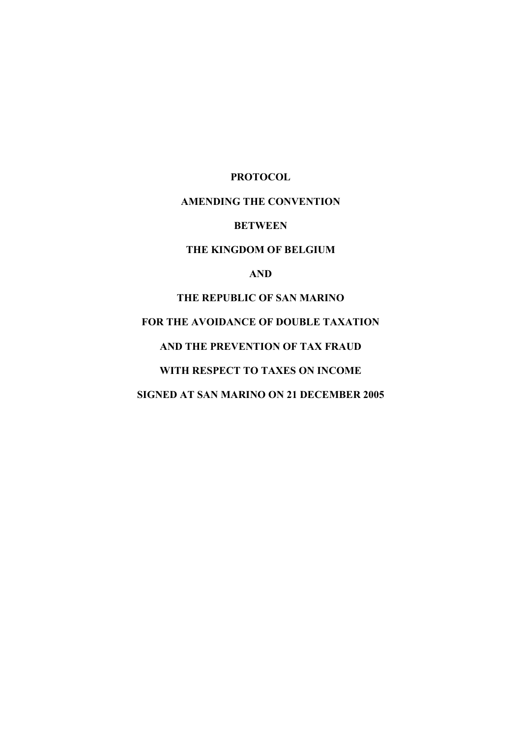#### PROTOCOL

# AMENDING THE CONVENTION

## **BETWEEN**

## THE KINGDOM OF BELGIUM

## AND

# THE REPUBLIC OF SAN MARINO FOR THE AVOIDANCE OF DOUBLE TAXATION AND THE PREVENTION OF TAX FRAUD WITH RESPECT TO TAXES ON INCOME SIGNED AT SAN MARINO ON 21 DECEMBER 2005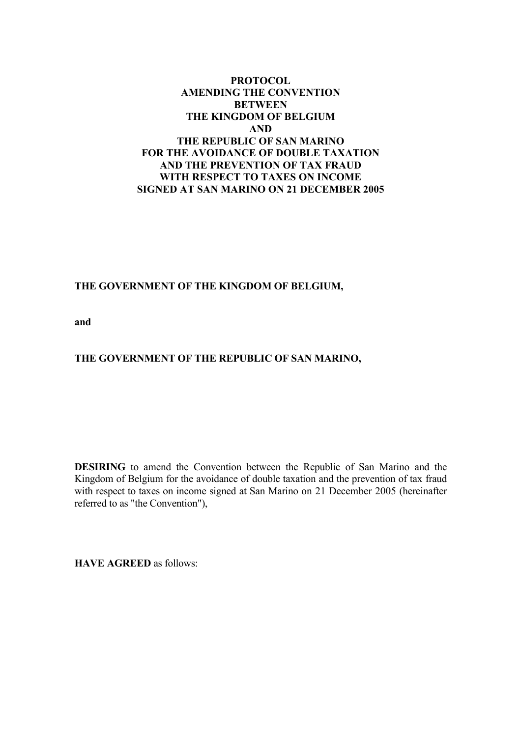## PROTOCOL AMENDING THE CONVENTION **BETWEEN** THE KINGDOM OF BELGIUM AND THE REPUBLIC OF SAN MARINO FOR THE AVOIDANCE OF DOUBLE TAXATION AND THE PREVENTION OF TAX FRAUD WITH RESPECT TO TAXES ON INCOME SIGNED AT SAN MARINO ON 21 DECEMBER 2005

## THE GOVERNMENT OF THE KINGDOM OF BELGIUM,

and

## THE GOVERNMENT OF THE REPUBLIC OF SAN MARINO,

DESIRING to amend the Convention between the Republic of San Marino and the Kingdom of Belgium for the avoidance of double taxation and the prevention of tax fraud with respect to taxes on income signed at San Marino on 21 December 2005 (hereinafter referred to as "the Convention"),

HAVE AGREED as follows: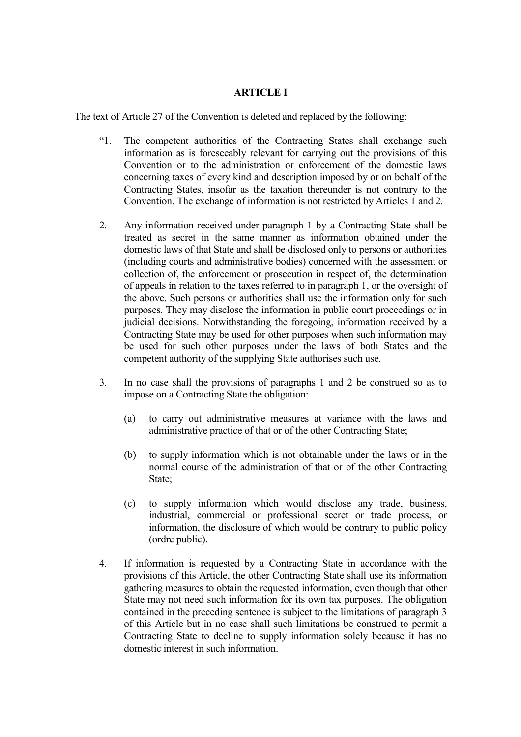## ARTICLE I

The text of Article 27 of the Convention is deleted and replaced by the following:

- "1. The competent authorities of the Contracting States shall exchange such information as is foreseeably relevant for carrying out the provisions of this Convention or to the administration or enforcement of the domestic laws concerning taxes of every kind and description imposed by or on behalf of the Contracting States, insofar as the taxation thereunder is not contrary to the Convention. The exchange of information is not restricted by Articles 1 and 2.
- 2. Any information received under paragraph 1 by a Contracting State shall be treated as secret in the same manner as information obtained under the domestic laws of that State and shall be disclosed only to persons or authorities (including courts and administrative bodies) concerned with the assessment or collection of, the enforcement or prosecution in respect of, the determination of appeals in relation to the taxes referred to in paragraph 1, or the oversight of the above. Such persons or authorities shall use the information only for such purposes. They may disclose the information in public court proceedings or in judicial decisions. Notwithstanding the foregoing, information received by a Contracting State may be used for other purposes when such information may be used for such other purposes under the laws of both States and the competent authority of the supplying State authorises such use.
- 3. In no case shall the provisions of paragraphs 1 and 2 be construed so as to impose on a Contracting State the obligation:
	- (a) to carry out administrative measures at variance with the laws and administrative practice of that or of the other Contracting State;
	- (b) to supply information which is not obtainable under the laws or in the normal course of the administration of that or of the other Contracting State:
	- (c) to supply information which would disclose any trade, business, industrial, commercial or professional secret or trade process, or information, the disclosure of which would be contrary to public policy (ordre public).
- 4. If information is requested by a Contracting State in accordance with the provisions of this Article, the other Contracting State shall use its information gathering measures to obtain the requested information, even though that other State may not need such information for its own tax purposes. The obligation contained in the preceding sentence is subject to the limitations of paragraph 3 of this Article but in no case shall such limitations be construed to permit a Contracting State to decline to supply information solely because it has no domestic interest in such information.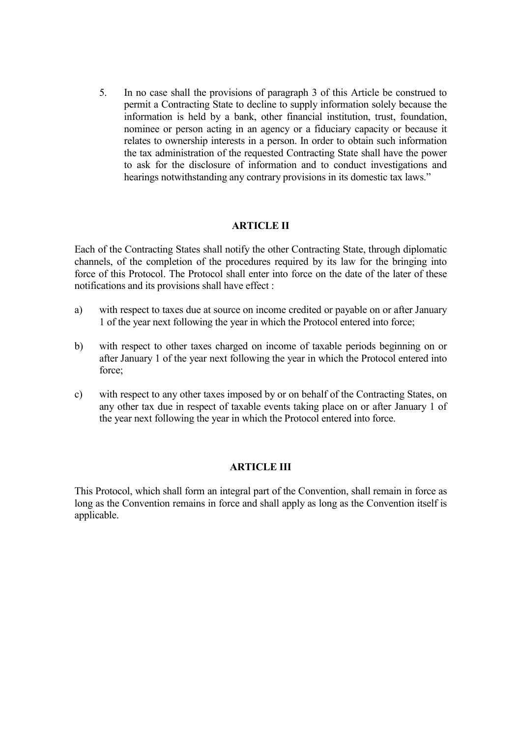5. In no case shall the provisions of paragraph 3 of this Article be construed to permit a Contracting State to decline to supply information solely because the information is held by a bank, other financial institution, trust, foundation, nominee or person acting in an agency or a fiduciary capacity or because it relates to ownership interests in a person. In order to obtain such information the tax administration of the requested Contracting State shall have the power to ask for the disclosure of information and to conduct investigations and hearings notwithstanding any contrary provisions in its domestic tax laws."

## ARTICLE II

Each of the Contracting States shall notify the other Contracting State, through diplomatic channels, of the completion of the procedures required by its law for the bringing into force of this Protocol. The Protocol shall enter into force on the date of the later of these notifications and its provisions shall have effect :

- a) with respect to taxes due at source on income credited or payable on or after January 1 of the year next following the year in which the Protocol entered into force;
- b) with respect to other taxes charged on income of taxable periods beginning on or after January 1 of the year next following the year in which the Protocol entered into force;
- c) with respect to any other taxes imposed by or on behalf of the Contracting States, on any other tax due in respect of taxable events taking place on or after January 1 of the year next following the year in which the Protocol entered into force.

#### **ARTICLE III**

This Protocol, which shall form an integral part of the Convention, shall remain in force as long as the Convention remains in force and shall apply as long as the Convention itself is applicable.